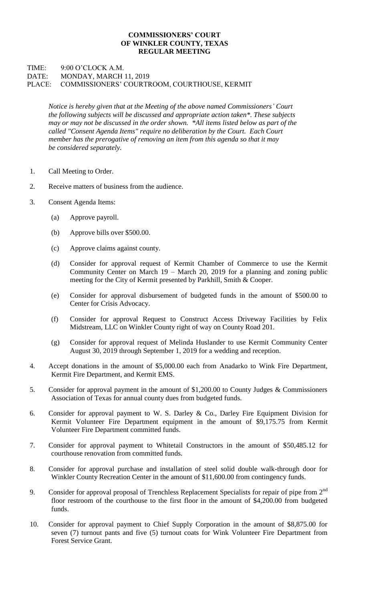## **COMMISSIONERS' COURT OF WINKLER COUNTY, TEXAS REGULAR MEETING**

## TIME: 9:00 O'CLOCK A.M. DATE: MONDAY, MARCH 11, 2019 PLACE: COMMISSIONERS' COURTROOM, COURTHOUSE, KERMIT

*Notice is hereby given that at the Meeting of the above named Commissioners' Court the following subjects will be discussed and appropriate action taken\*. These subjects may or may not be discussed in the order shown. \*All items listed below as part of the called "Consent Agenda Items" require no deliberation by the Court. Each Court member has the prerogative of removing an item from this agenda so that it may be considered separately.*

- 1. Call Meeting to Order.
- 2. Receive matters of business from the audience.
- 3. Consent Agenda Items:
	- (a) Approve payroll.
	- (b) Approve bills over \$500.00.
	- (c) Approve claims against county.
	- (d) Consider for approval request of Kermit Chamber of Commerce to use the Kermit Community Center on March 19 – March 20, 2019 for a planning and zoning public meeting for the City of Kermit presented by Parkhill, Smith & Cooper.
	- (e) Consider for approval disbursement of budgeted funds in the amount of \$500.00 to Center for Crisis Advocacy.
	- (f) Consider for approval Request to Construct Access Driveway Facilities by Felix Midstream, LLC on Winkler County right of way on County Road 201.
	- (g) Consider for approval request of Melinda Huslander to use Kermit Community Center August 30, 2019 through September 1, 2019 for a wedding and reception.
- 4. Accept donations in the amount of \$5,000.00 each from Anadarko to Wink Fire Department, Kermit Fire Department, and Kermit EMS.
- 5. Consider for approval payment in the amount of \$1,200.00 to County Judges & Commissioners Association of Texas for annual county dues from budgeted funds.
- 6. Consider for approval payment to W. S. Darley & Co., Darley Fire Equipment Division for Kermit Volunteer Fire Department equipment in the amount of \$9,175.75 from Kermit Volunteer Fire Department committed funds.
- 7. Consider for approval payment to Whitetail Constructors in the amount of \$50,485.12 for courthouse renovation from committed funds.
- 8. Consider for approval purchase and installation of steel solid double walk-through door for Winkler County Recreation Center in the amount of \$11,600.00 from contingency funds.
- 9. Consider for approval proposal of Trenchless Replacement Specialists for repair of pipe from 2<sup>nd</sup> floor restroom of the courthouse to the first floor in the amount of \$4,200.00 from budgeted funds.
- 10. Consider for approval payment to Chief Supply Corporation in the amount of \$8,875.00 for seven (7) turnout pants and five (5) turnout coats for Wink Volunteer Fire Department from Forest Service Grant.